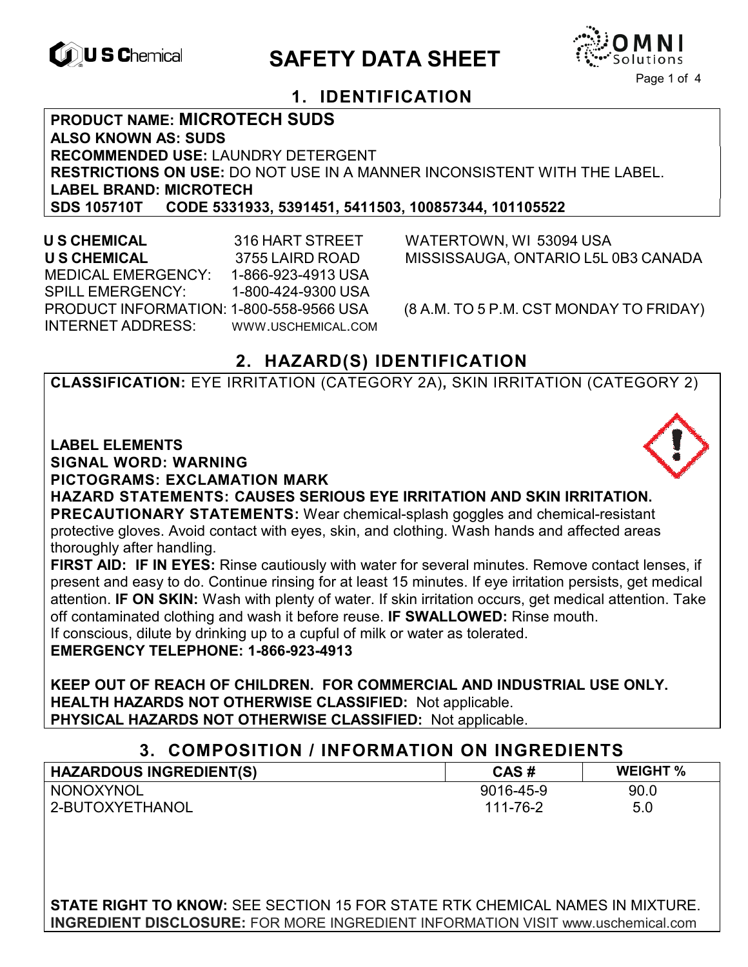

# **EXAGRETY DATA SHEET**



# **1. IDENTIFICATION**

**PRODUCT NAME: MICROTECH SUDS ALSO KNOWN AS: SUDS RECOMMENDED USE:** LAUNDRY DETERGENT **RESTRICTIONS ON USE:** DO NOT USE IN A MANNER INCONSISTENT WITH THE LABEL. **LABEL BRAND: MICROTECH SDS 105710T CODE 5331933, 5391451, 5411503, 100857344, 101105522** 

 **U S CHEMICAL** 316 HART STREET WATERTOWN, WI 53094 USA **U S CHEMICAL** 3755 LAIRD ROAD MISSISSAUGA, ONTARIO L5L 0B3 CANADA MEDICAL EMERGENCY: 1-866-923-4913 USA SPILL EMERGENCY: 1-800-424-9300 USA PRODUCT INFORMATION: 1-800-558-9566 USA (8 A.M. TO 5 P.M. CST MONDAY TO FRIDAY) INTERNET ADDRESS: WWW.USCHEMICAL.COM

# **2. HAZARD(S) IDENTIFICATION**

**CLASSIFICATION:** EYE IRRITATION (CATEGORY 2A)**,** SKIN IRRITATION (CATEGORY 2)

**LABEL ELEMENTS SIGNAL WORD: WARNING PICTOGRAMS: EXCLAMATION MARK**



**HAZARD STATEMENTS: CAUSES SERIOUS EYE IRRITATION AND SKIN IRRITATION. PRECAUTIONARY STATEMENTS:** Wear chemical-splash goggles and chemical-resistant protective gloves. Avoid contact with eyes, skin, and clothing. Wash hands and affected areas thoroughly after handling.

**FIRST AID: IF IN EYES:** Rinse cautiously with water for several minutes. Remove contact lenses, if present and easy to do. Continue rinsing for at least 15 minutes. If eye irritation persists, get medical attention. **IF ON SKIN:** Wash with plenty of water. If skin irritation occurs, get medical attention. Take off contaminated clothing and wash it before reuse. **IF SWALLOWED:** Rinse mouth. If conscious, dilute by drinking up to a cupful of milk or water as tolerated.

**EMERGENCY TELEPHONE: 1-866-923-4913** 

**KEEP OUT OF REACH OF CHILDREN. FOR COMMERCIAL AND INDUSTRIAL USE ONLY. HEALTH HAZARDS NOT OTHERWISE CLASSIFIED:** Not applicable. **PHYSICAL HAZARDS NOT OTHERWISE CLASSIFIED:** Not applicable.

# **3. COMPOSITION / INFORMATION ON INGREDIENTS**

| <b>HAZARDOUS INGREDIENT(S)</b> | CAS#      | <b>WEIGHT %</b> |
|--------------------------------|-----------|-----------------|
| NONOXYNOL                      | 9016-45-9 | 90.0            |
| 2-BUTOXYETHANOL                | 111-76-2  | 5.0             |

**STATE RIGHT TO KNOW:** SEE SECTION 15 FOR STATE RTK CHEMICAL NAMES IN MIXTURE. **INGREDIENT DISCLOSURE:** FOR MORE INGREDIENT INFORMATION VISIT www.uschemical.com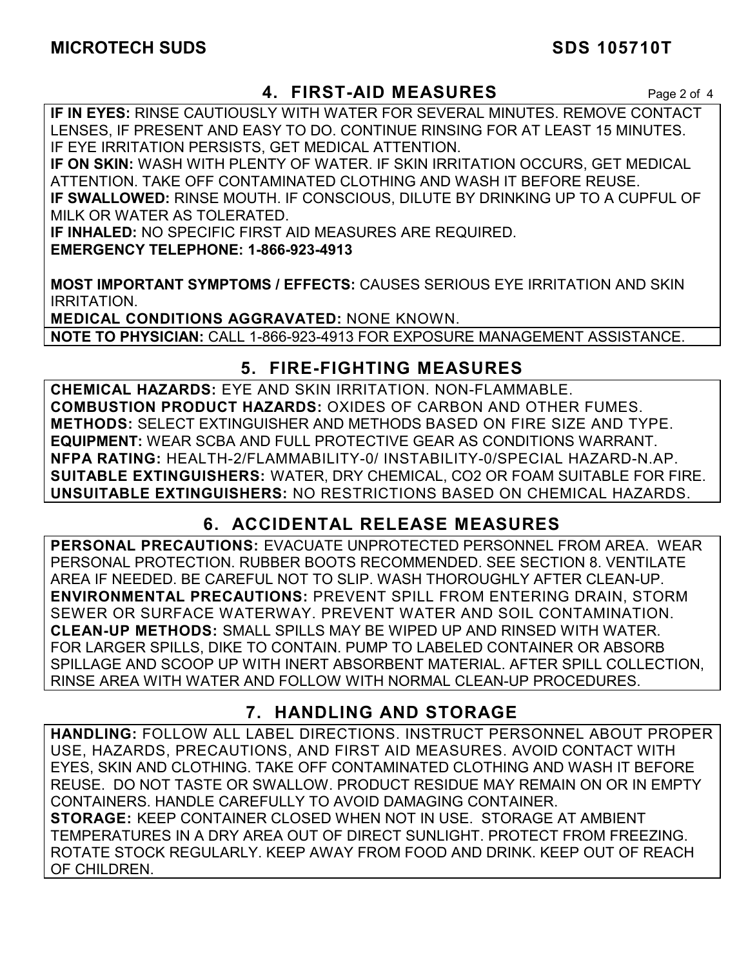# **4. FIRST-AID MEASURES** Page 2 of 4

**IF IN EYES:** RINSE CAUTIOUSLY WITH WATER FOR SEVERAL MINUTES. REMOVE CONTACT LENSES, IF PRESENT AND EASY TO DO. CONTINUE RINSING FOR AT LEAST 15 MINUTES. IF EYE IRRITATION PERSISTS, GET MEDICAL ATTENTION.

**IF ON SKIN:** WASH WITH PLENTY OF WATER. IF SKIN IRRITATION OCCURS, GET MEDICAL ATTENTION. TAKE OFF CONTAMINATED CLOTHING AND WASH IT BEFORE REUSE. **IF SWALLOWED:** RINSE MOUTH. IF CONSCIOUS, DILUTE BY DRINKING UP TO A CUPFUL OF MILK OR WATER AS TOLERATED.

**IF INHALED:** NO SPECIFIC FIRST AID MEASURES ARE REQUIRED. **EMERGENCY TELEPHONE: 1-866-923-4913** 

**MOST IMPORTANT SYMPTOMS / EFFECTS:** CAUSES SERIOUS EYE IRRITATION AND SKIN IRRITATION.

**MEDICAL CONDITIONS AGGRAVATED:** NONE KNOWN. **NOTE TO PHYSICIAN:** CALL 1-866-923-4913 FOR EXPOSURE MANAGEMENT ASSISTANCE.

# **5. FIRE-FIGHTING MEASURES**

**CHEMICAL HAZARDS:** EYE AND SKIN IRRITATION. NON-FLAMMABLE. **COMBUSTION PRODUCT HAZARDS:** OXIDES OF CARBON AND OTHER FUMES. **METHODS:** SELECT EXTINGUISHER AND METHODS BASED ON FIRE SIZE AND TYPE. **EQUIPMENT:** WEAR SCBA AND FULL PROTECTIVE GEAR AS CONDITIONS WARRANT. **NFPA RATING:** HEALTH-2/FLAMMABILITY-0/ INSTABILITY-0/SPECIAL HAZARD-N.AP. **SUITABLE EXTINGUISHERS:** WATER, DRY CHEMICAL, CO2 OR FOAM SUITABLE FOR FIRE. **UNSUITABLE EXTINGUISHERS:** NO RESTRICTIONS BASED ON CHEMICAL HAZARDS.

# **6. ACCIDENTAL RELEASE MEASURES**

**PERSONAL PRECAUTIONS:** EVACUATE UNPROTECTED PERSONNEL FROM AREA. WEAR PERSONAL PROTECTION. RUBBER BOOTS RECOMMENDED. SEE SECTION 8. VENTILATE AREA IF NEEDED. BE CAREFUL NOT TO SLIP. WASH THOROUGHLY AFTER CLEAN-UP. **ENVIRONMENTAL PRECAUTIONS:** PREVENT SPILL FROM ENTERING DRAIN, STORM SEWER OR SURFACE WATERWAY. PREVENT WATER AND SOIL CONTAMINATION. **CLEAN-UP METHODS:** SMALL SPILLS MAY BE WIPED UP AND RINSED WITH WATER. FOR LARGER SPILLS, DIKE TO CONTAIN. PUMP TO LABELED CONTAINER OR ABSORB SPILLAGE AND SCOOP UP WITH INERT ABSORBENT MATERIAL. AFTER SPILL COLLECTION, RINSE AREA WITH WATER AND FOLLOW WITH NORMAL CLEAN-UP PROCEDURES.

# **7. HANDLING AND STORAGE**

**HANDLING:** FOLLOW ALL LABEL DIRECTIONS. INSTRUCT PERSONNEL ABOUT PROPER USE, HAZARDS, PRECAUTIONS, AND FIRST AID MEASURES. AVOID CONTACT WITH EYES, SKIN AND CLOTHING. TAKE OFF CONTAMINATED CLOTHING AND WASH IT BEFORE REUSE. DO NOT TASTE OR SWALLOW. PRODUCT RESIDUE MAY REMAIN ON OR IN EMPTY CONTAINERS. HANDLE CAREFULLY TO AVOID DAMAGING CONTAINER. **STORAGE:** KEEP CONTAINER CLOSED WHEN NOT IN USE. STORAGE AT AMBIENT TEMPERATURES IN A DRY AREA OUT OF DIRECT SUNLIGHT. PROTECT FROM FREEZING. ROTATE STOCK REGULARLY. KEEP AWAY FROM FOOD AND DRINK. KEEP OUT OF REACH OF CHILDREN.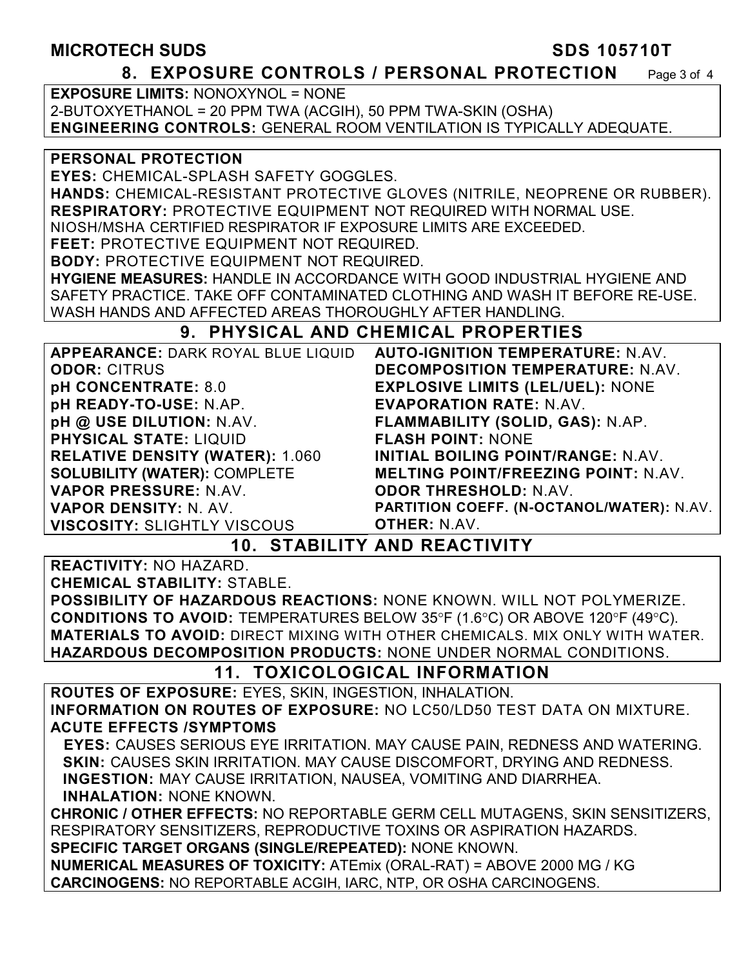## **MICROTECH SUDS SDS 105710T**

## **8. EXPOSURE CONTROLS / PERSONAL PROTECTION** Page 3 of 4

**EXPOSURE LIMITS:** NONOXYNOL = NONE 2-BUTOXYETHANOL = 20 PPM TWA (ACGIH), 50 PPM TWA-SKIN (OSHA) **ENGINEERING CONTROLS:** GENERAL ROOM VENTILATION IS TYPICALLY ADEQUATE.

### **PERSONAL PROTECTION**

**EYES:** CHEMICAL-SPLASH SAFETY GOGGLES.

**HANDS:** CHEMICAL-RESISTANT PROTECTIVE GLOVES (NITRILE, NEOPRENE OR RUBBER). **RESPIRATORY:** PROTECTIVE EQUIPMENT NOT REQUIRED WITH NORMAL USE.

NIOSH/MSHA CERTIFIED RESPIRATOR IF EXPOSURE LIMITS ARE EXCEEDED.

**FEET:** PROTECTIVE EQUIPMENT NOT REQUIRED.

**BODY:** PROTECTIVE EQUIPMENT NOT REQUIRED.

**HYGIENE MEASURES:** HANDLE IN ACCORDANCE WITH GOOD INDUSTRIAL HYGIENE AND SAFETY PRACTICE. TAKE OFF CONTAMINATED CLOTHING AND WASH IT BEFORE RE-USE. WASH HANDS AND AFFECTED AREAS THOROUGHLY AFTER HANDLING.

# **9. PHYSICAL AND CHEMICAL PROPERTIES**

| APPEARANCE: DARK ROYAL BLUE LIQUID                     | <b>AUTO-IGNITION TEMPERATURE: N.AV.</b>          |  |  |
|--------------------------------------------------------|--------------------------------------------------|--|--|
| <b>ODOR: CITRUS</b>                                    | DECOMPOSITION TEMPERATURE: N.AV.                 |  |  |
| <b>pH CONCENTRATE: 8.0</b>                             | <b>EXPLOSIVE LIMITS (LEL/UEL): NONE</b>          |  |  |
| pH READY-TO-USE: N.AP.                                 | <b>EVAPORATION RATE: N.AV.</b>                   |  |  |
| pH @ USE DILUTION: N.AV.                               | FLAMMABILITY (SOLID, GAS): N.AP.                 |  |  |
| <b>PHYSICAL STATE: LIQUID</b>                          | <b>FLASH POINT: NONE</b>                         |  |  |
| <b>RELATIVE DENSITY (WATER): 1.060</b>                 | <b>INITIAL BOILING POINT/RANGE: N.AV.</b>        |  |  |
| <b>SOLUBILITY (WATER): COMPLETE</b>                    | <b>MELTING POINT/FREEZING POINT: N.AV.</b>       |  |  |
| VAPOR PRESSURE: N.AV.                                  | <b>ODOR THRESHOLD: N.AV.</b>                     |  |  |
| <b>VAPOR DENSITY: N. AV.</b>                           | <b>PARTITION COEFF. (N-OCTANOL/WATER): N.AV.</b> |  |  |
| <b>VISCOSITY: SLIGHTLY VISCOUS</b>                     | <b>OTHER: N.AV.</b>                              |  |  |
| ATANI I T V A I R R R A T I V I T V<br><i><b>A</b></i> |                                                  |  |  |

# **10. STABILITY AND REACTIVITY**

**REACTIVITY:** NO HAZARD.

**CHEMICAL STABILITY:** STABLE.

**POSSIBILITY OF HAZARDOUS REACTIONS:** NONE KNOWN. WILL NOT POLYMERIZE. **CONDITIONS TO AVOID:** TEMPERATURES BELOW 35°F (1.6°C) OR ABOVE 120°F (49°C). **MATERIALS TO AVOID:** DIRECT MIXING WITH OTHER CHEMICALS. MIX ONLY WITH WATER. **HAZARDOUS DECOMPOSITION PRODUCTS:** NONE UNDER NORMAL CONDITIONS.

# **11. TOXICOLOGICAL INFORMATION**

**ROUTES OF EXPOSURE:** EYES, SKIN, INGESTION, INHALATION. **INFORMATION ON ROUTES OF EXPOSURE:** NO LC50/LD50 TEST DATA ON MIXTURE. **ACUTE EFFECTS /SYMPTOMS** 

 **EYES:** CAUSES SERIOUS EYE IRRITATION. MAY CAUSE PAIN, REDNESS AND WATERING. **SKIN:** CAUSES SKIN IRRITATION. MAY CAUSE DISCOMFORT, DRYING AND REDNESS. **INGESTION:** MAY CAUSE IRRITATION, NAUSEA, VOMITING AND DIARRHEA. **INHALATION:** NONE KNOWN.

**CHRONIC / OTHER EFFECTS:** NO REPORTABLE GERM CELL MUTAGENS, SKIN SENSITIZERS, RESPIRATORY SENSITIZERS, REPRODUCTIVE TOXINS OR ASPIRATION HAZARDS. **SPECIFIC TARGET ORGANS (SINGLE/REPEATED):** NONE KNOWN.

**NUMERICAL MEASURES OF TOXICITY:** ATEmix (ORAL-RAT) = ABOVE 2000 MG / KG **CARCINOGENS:** NO REPORTABLE ACGIH, IARC, NTP, OR OSHA CARCINOGENS.